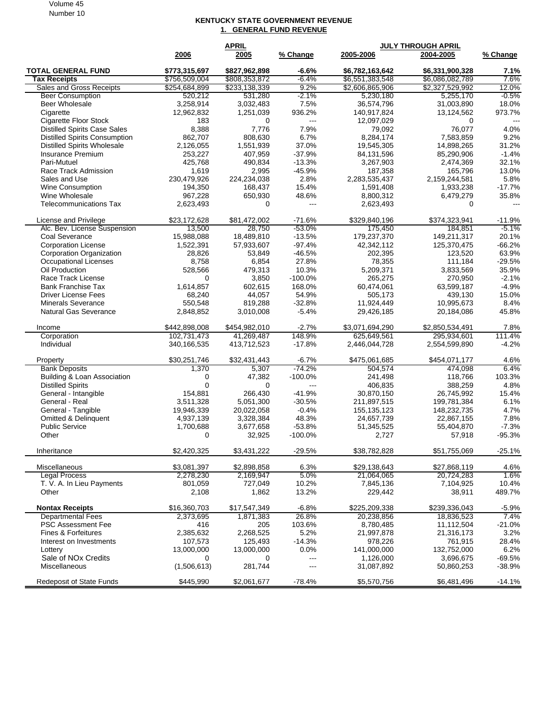Volume 45 Number 10

## **KENTUCKY STATE GOVERNMENT REVENUE 1. GENERAL FUND REVENUE**

|                                                              |                       | <b>APRIL</b>         |                                  | <b>JULY THROUGH APRIL</b> |                      |                   |
|--------------------------------------------------------------|-----------------------|----------------------|----------------------------------|---------------------------|----------------------|-------------------|
|                                                              | 2006                  | 2005                 | % Change                         | 2005-2006                 | 2004-2005            | % Change          |
| <b>TOTAL GENERAL FUND</b>                                    | \$773,315,697         | \$827,962,898        | $-6.6%$                          | \$6,782,163,642           | \$6,331,900,328      | 7.1%              |
| <b>Tax Receipts</b>                                          | \$756,509,004         | \$808,353,872        | $-6.4%$                          | \$6,551,383,548           | \$6,086,082,789      | 7.6%              |
| <b>Sales and Gross Receipts</b>                              | \$254,684,899         | \$233,138,339        | 9.2%                             | \$2,606,865,906           | \$2,327,529,992      | 12.0%             |
| <b>Beer Consumption</b>                                      | 520,212               | 531,280              | $-2.1%$                          | 5,230,180                 | 5,255,170            | $-0.5%$           |
| Beer Wholesale                                               | 3.258.914             | 3,032,483            | 7.5%                             | 36,574,796                | 31,003,890           | 18.0%             |
| Cigarette                                                    | 12,962,832            | 1,251,039            | 936.2%                           | 140,917,824               | 13,124,562           | 973.7%            |
| Cigarette Floor Stock<br><b>Distilled Spirits Case Sales</b> | 183<br>8,388          | $\mathbf 0$<br>7,776 | $\overline{\phantom{a}}$<br>7.9% | 12,097,029<br>79,092      | 0<br>76,077          | $---$<br>4.0%     |
| <b>Distilled Spirits Consumption</b>                         | 862,707               | 808.630              | 6.7%                             | 8,284,174                 | 7,583,859            | 9.2%              |
| <b>Distilled Spirits Wholesale</b>                           | 2,126,055             | 1,551,939            | 37.0%                            | 19,545,305                | 14,898,265           | 31.2%             |
| <b>Insurance Premium</b>                                     | 253,227               | 407,959              | $-37.9%$                         | 84,131,596                | 85,290,906           | $-1.4%$           |
| Pari-Mutuel                                                  | 425,768               | 490,834              | $-13.3%$                         | 3,267,903                 | 2,474,369            | 32.1%             |
| Race Track Admission                                         | 1,619                 | 2,995                | $-45.9%$                         | 187,358                   | 165,796              | 13.0%             |
| Sales and Use                                                | 230,479,926           | 224,234,038          | 2.8%                             | 2,283,535,437             | 2,159,244,581        | 5.8%              |
| <b>Wine Consumption</b>                                      | 194,350               | 168,437              | 15.4%                            | 1,591,408                 | 1,933,238            | $-17.7%$          |
| Wine Wholesale                                               | 967,228               | 650,930              | 48.6%                            | 8,800,312                 | 6,479,279            | 35.8%             |
| <b>Telecommunications Tax</b>                                | 2,623,493             | 0                    | $---$                            | 2,623,493                 | 0                    | $---$             |
|                                                              |                       |                      |                                  |                           |                      |                   |
| License and Privilege                                        | \$23,172,628          | \$81,472,002         | $-71.6%$                         | \$329,840,196             | \$374,323,941        | $-11.9%$          |
| Alc. Bev. License Suspension                                 | 13,500                | 28,750               | $-53.0%$                         | 175,450                   | 184,851              | -5.1%             |
| Coal Severance                                               | 15,988,088            | 18,489,810           | $-13.5%$                         | 179,237,370               | 149,211,317          | 20.1%             |
| <b>Corporation License</b>                                   | 1,522,391             | 57,933,607           | $-97.4%$                         | 42,342,112                | 125,370,475          | $-66.2%$<br>63.9% |
| Corporation Organization                                     | 28,826                | 53,849               | $-46.5%$<br>27.8%                | 202,395                   | 123,520              |                   |
| <b>Occupational Licenses</b>                                 | 8,758                 | 6,854                |                                  | 78,355                    | 111,184              | $-29.5%$          |
| Oil Production<br>Race Track License                         | 528,566<br>0          | 479,313<br>3,850     | 10.3%<br>$-100.0%$               | 5,209,371                 | 3,833,569<br>270,950 | 35.9%<br>$-2.1%$  |
| <b>Bank Franchise Tax</b>                                    | 1,614,857             | 602,615              | 168.0%                           | 265,275<br>60,474,061     | 63,599,187           | $-4.9%$           |
| <b>Driver License Fees</b>                                   | 68,240                | 44,057               | 54.9%                            | 505,173                   | 439,130              | 15.0%             |
| <b>Minerals Severance</b>                                    | 550,548               | 819,288              | $-32.8%$                         | 11,924,449                | 10,995,673           | 8.4%              |
| <b>Natural Gas Severance</b>                                 | 2,848,852             | 3,010,008            | $-5.4%$                          | 29,426,185                | 20,184,086           | 45.8%             |
|                                                              |                       |                      |                                  |                           |                      |                   |
| Income                                                       | \$442,898,008         | \$454,982,010        | $-2.7%$                          | \$3,071,694,290           | \$2,850,534,491      | 7.8%              |
| Corporation                                                  | 102,731,473           | 41,269,487           | 148.9%                           | 625,649,561               | 295,934,601          | 111.4%            |
| Individual                                                   | 340,166,535           | 413,712,523          | $-17.8%$                         | 2,446,044,728             | 2,554,599,890        | $-4.2%$           |
| Property                                                     | \$30,251,746          | \$32,431,443         | $-6.7%$                          | \$475,061,685             | \$454,071,177        | 4.6%              |
| <b>Bank Deposits</b>                                         | 1,370                 | 5,307                | $-74.2%$                         | 504,574                   | 474,098              | 6.4%              |
| Building & Loan Association                                  | 0                     | 47,382               | $-100.0%$                        | 241,498                   | 118,766              | 103.3%            |
| <b>Distilled Spirits</b>                                     | $\Omega$              | 0                    | $\overline{a}$                   | 406,835                   | 388,259              | 4.8%              |
| General - Intangible                                         | 154,881               | 266,430              | $-41.9%$                         | 30,870,150                | 26,745,992           | 15.4%             |
| General - Real                                               | 3,511,328             | 5,051,300            | $-30.5%$                         | 211,897,515               | 199,781,384          | 6.1%              |
| General - Tangible                                           | 19,946,339            | 20,022,058           | $-0.4%$                          | 155, 135, 123             | 148,232,735          | 4.7%              |
| Omitted & Delinquent                                         | 4,937,139             | 3,328,384            | 48.3%                            | 24,657,739                | 22,867,155           | 7.8%              |
| <b>Public Service</b><br>Other                               | 1,700,688<br>$\Omega$ | 3,677,658            | $-53.8%$                         | 51,345,525                | 55,404,870           | $-7.3%$           |
|                                                              |                       | 32,925               | $-100.0%$                        | 2,727                     | 57,918               | $-95.3%$          |
| Inheritance                                                  | \$2,420,325           | \$3,431,222          | $-29.5%$                         | \$38,782,828              | \$51,755,069         | $-25.1%$          |
| Miscellaneous                                                | \$3,081,397           | \$2,898,858          | 6.3%                             | \$29,138,643              | \$27,868,119         | 4.6%              |
| <b>Legal Process</b>                                         | 2,278,230             | 2,169,947            | 5.0%                             | 21,064,065                | 20,724,283           | 1.6%              |
| T. V. A. In Lieu Payments                                    | 801,059               | 727,049              | 10.2%                            | 7,845,136                 | 7,104,925            | 10.4%             |
| Other                                                        | 2,108                 | 1,862                | 13.2%                            | 229,442                   | 38,911               | 489.7%            |
| <b>Nontax Receipts</b>                                       | \$16,360,703          | \$17,547,349         | $-6.8%$                          | \$225.209.338             | \$239.336.043        | $-5.9%$           |
| <b>Departmental Fees</b>                                     | 2,373,695             | 1,871,383            | 26.8%                            | 20,238,856                | 18,836,523           | 7.4%              |
| <b>PSC Assessment Fee</b>                                    | 416                   | 205                  | 103.6%                           | 8,780,485                 | 11,112,504           | $-21.0%$          |
| Fines & Forfeitures                                          | 2,385,632             | 2,268,525            | 5.2%                             | 21,997,878                | 21,316,173           | 3.2%              |
| Interest on Investments                                      | 107,573               | 125,493              | $-14.3%$                         | 978,226                   | 761,915              | 28.4%             |
| Lottery                                                      | 13,000,000            | 13,000,000           | 0.0%                             | 141,000,000               | 132,752,000          | 6.2%              |
| Sale of NO <sub>x</sub> Credits                              | 0                     | 0                    | $---$                            | 1,126,000                 | 3,696,675            | $-69.5%$          |
| Miscellaneous                                                | (1,506,613)           | 281,744              | $---$                            | 31,087,892                | 50,860,253           | -38.9%            |
| <b>Redeposit of State Funds</b>                              | \$445,990             | \$2,061,677          | $-78.4%$                         | \$5,570,756               | \$6,481,496          | $-14.1%$          |